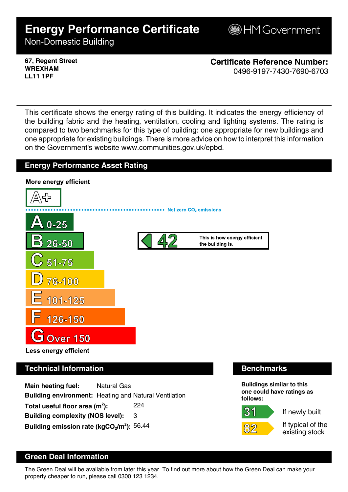# **Energy Performance Certificate**

**B**HM Government

Non-Domestic Building

**67, Regent Street WREXHAM LL11 1PF**

**Certificate Reference Number:** 0496-9197-7430-7690-6703

This certificate shows the energy rating of this building. It indicates the energy efficiency of the building fabric and the heating, ventilation, cooling and lighting systems. The rating is compared to two benchmarks for this type of building: one appropriate for new buildings and one appropriate for existing buildings. There is more advice on how to interpret this information on the Government's website www.communities.gov.uk/epbd.





## **Technical Information Benchmarks**

**Main heating fuel:** Natural Gas **Building environment:** Heating and Natural Ventilation Total useful floor area (m<sup>2</sup>): **):** 224 **Building complexity (NOS level):** 3 **Building emission rate (kgCO2/m<sup>2</sup> ):** 56.44

**Buildings similar to this one could have ratings as follows:**

If newly built

31

If typical of the existing stock

# **Green Deal Information**

The Green Deal will be available from later this year. To find out more about how the Green Deal can make your property cheaper to run, please call 0300 123 1234.